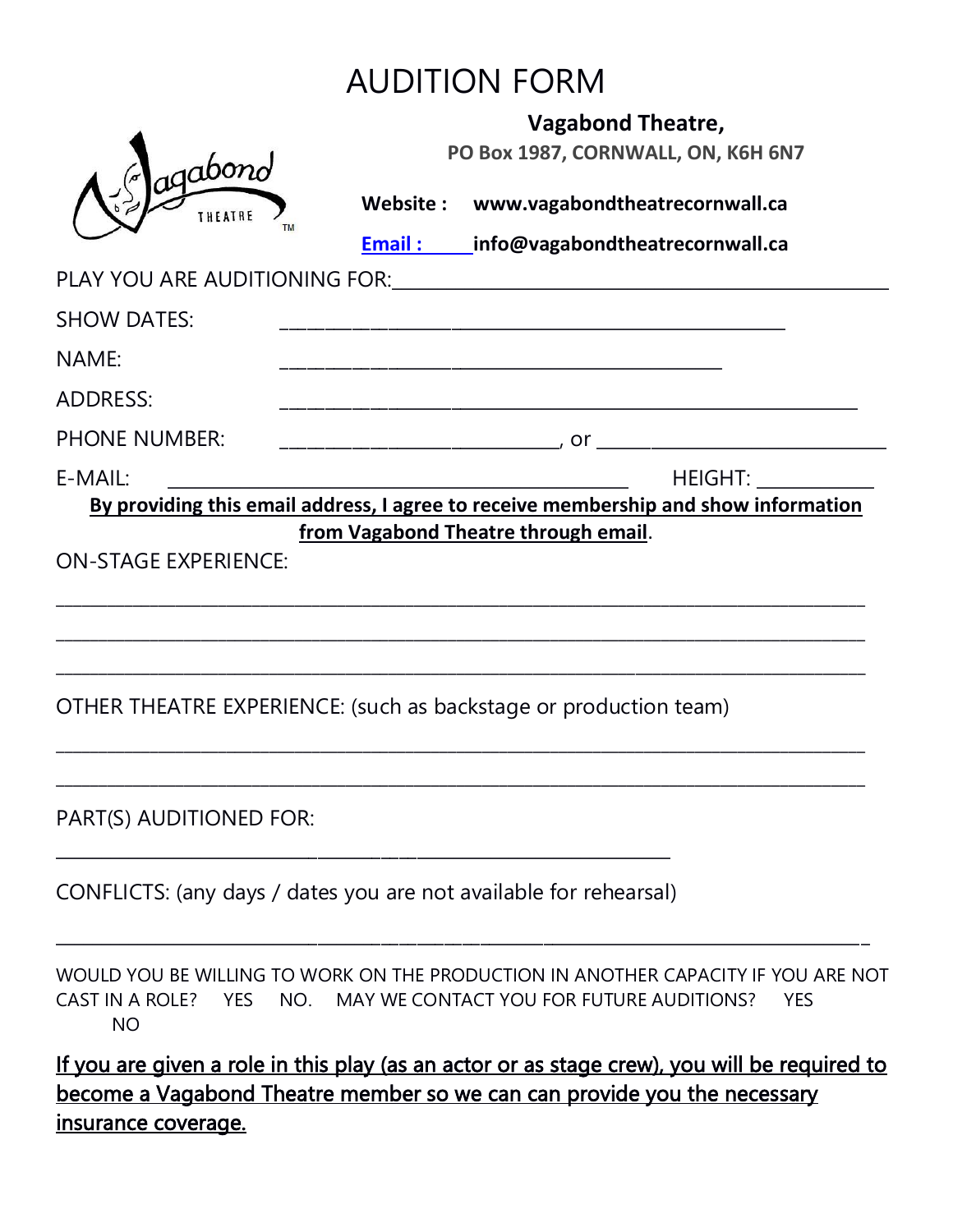## AUDITION FORM

|                                                                   | <b>Vagabond Theatre,</b><br>PO Box 1987, CORNWALL, ON, K6H 6N7 |                                                                                                                                                                                                                               |            |
|-------------------------------------------------------------------|----------------------------------------------------------------|-------------------------------------------------------------------------------------------------------------------------------------------------------------------------------------------------------------------------------|------------|
| agabono                                                           |                                                                |                                                                                                                                                                                                                               |            |
| THEATRE                                                           |                                                                | Website: www.vagabondtheatrecornwall.ca                                                                                                                                                                                       |            |
|                                                                   |                                                                | <b>Email:</b> info@vagabondtheatrecornwall.ca                                                                                                                                                                                 |            |
|                                                                   |                                                                | PLAY YOU ARE AUDITIONING FOR: The Contract of the Contract of the Contract of the Contract of the Contract of the Contract of the Contract of the Contract of the Contract of the Contract of the Contract of the Contract of |            |
| <b>SHOW DATES:</b>                                                |                                                                |                                                                                                                                                                                                                               |            |
| NAME:                                                             |                                                                |                                                                                                                                                                                                                               |            |
| <b>ADDRESS:</b>                                                   |                                                                |                                                                                                                                                                                                                               |            |
| <b>PHONE NUMBER:</b>                                              |                                                                |                                                                                                                                                                                                                               |            |
| E-MAIL:                                                           |                                                                | HEIGHT:                                                                                                                                                                                                                       |            |
|                                                                   |                                                                | By providing this email address, I agree to receive membership and show information                                                                                                                                           |            |
|                                                                   |                                                                | OTHER THEATRE EXPERIENCE: (such as backstage or production team)                                                                                                                                                              |            |
| PART(S) AUDITIONED FOR:                                           |                                                                |                                                                                                                                                                                                                               |            |
| CONFLICTS: (any days / dates you are not available for rehearsal) |                                                                |                                                                                                                                                                                                                               |            |
| CAST IN A ROLE? YES<br><b>NO</b>                                  |                                                                | WOULD YOU BE WILLING TO WORK ON THE PRODUCTION IN ANOTHER CAPACITY IF YOU ARE NOT<br>NO. MAY WE CONTACT YOU FOR FUTURE AUDITIONS?                                                                                             | <b>YES</b> |
|                                                                   |                                                                | If you are given a role in this play (as an actor or as stage crew), you will be required to<br>become a Vagabond Theatre member so we can can provide you the necessary                                                      |            |
| <u>insurance coverage.</u>                                        |                                                                |                                                                                                                                                                                                                               |            |